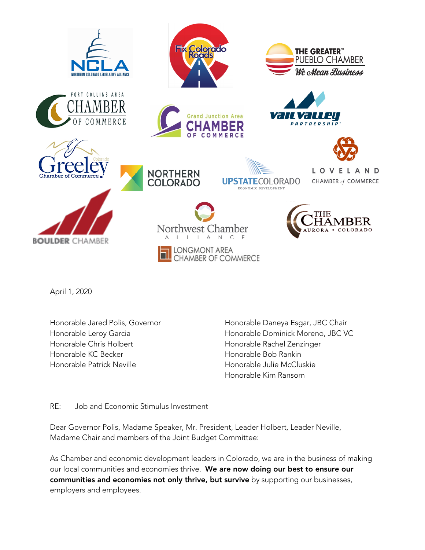

April 1, 2020

Honorable Jared Polis, Governor Honorable Leroy Garcia Honorable Chris Holbert Honorable KC Becker Honorable Patrick Neville

Honorable Daneya Esgar, JBC Chair Honorable Dominick Moreno, JBC VC Honorable Rachel Zenzinger Honorable Bob Rankin Honorable Julie McCluskie Honorable Kim Ransom

RE: Job and Economic Stimulus Investment

Dear Governor Polis, Madame Speaker, Mr. President, Leader Holbert, Leader Neville, Madame Chair and members of the Joint Budget Committee:

As Chamber and economic development leaders in Colorado, we are in the business of making our local communities and economies thrive. We are now doing our best to ensure our communities and economies not only thrive, but survive by supporting our businesses, employers and employees.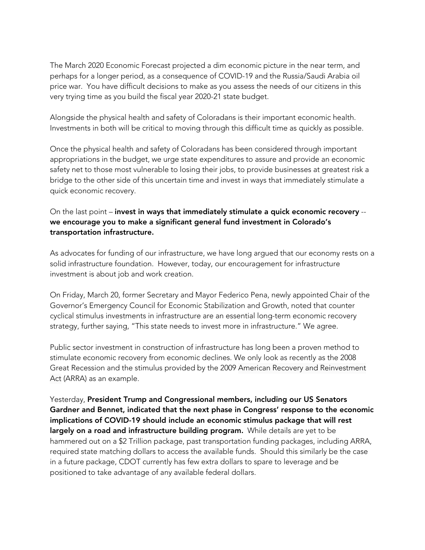The March 2020 Economic Forecast projected a dim economic picture in the near term, and perhaps for a longer period, as a consequence of COVID-19 and the Russia/Saudi Arabia oil price war. You have difficult decisions to make as you assess the needs of our citizens in this very trying time as you build the fiscal year 2020-21 state budget.

Alongside the physical health and safety of Coloradans is their important economic health. Investments in both will be critical to moving through this difficult time as quickly as possible.

Once the physical health and safety of Coloradans has been considered through important appropriations in the budget, we urge state expenditures to assure and provide an economic safety net to those most vulnerable to losing their jobs, to provide businesses at greatest risk a bridge to the other side of this uncertain time and invest in ways that immediately stimulate a quick economic recovery.

## On the last point – invest in ways that immediately stimulate a quick economic recovery - we encourage you to make a significant general fund investment in Colorado's transportation infrastructure.

As advocates for funding of our infrastructure, we have long argued that our economy rests on a solid infrastructure foundation. However, today, our encouragement for infrastructure investment is about job and work creation.

On Friday, March 20, former Secretary and Mayor Federico Pena, newly appointed Chair of the Governor's Emergency Council for Economic Stabilization and Growth, noted that counter cyclical stimulus investments in infrastructure are an essential long-term economic recovery strategy, further saying, "This state needs to invest more in infrastructure." We agree.

Public sector investment in construction of infrastructure has long been a proven method to stimulate economic recovery from economic declines. We only look as recently as the 2008 Great Recession and the stimulus provided by the 2009 American Recovery and Reinvestment Act (ARRA) as an example.

Yesterday, President Trump and Congressional members, including our US Senators Gardner and Bennet, indicated that the next phase in Congress' response to the economic implications of COVID-19 should include an economic stimulus package that will rest largely on a road and infrastructure building program. While details are yet to be hammered out on a \$2 Trillion package, past transportation funding packages, including ARRA, required state matching dollars to access the available funds. Should this similarly be the case in a future package, CDOT currently has few extra dollars to spare to leverage and be positioned to take advantage of any available federal dollars.